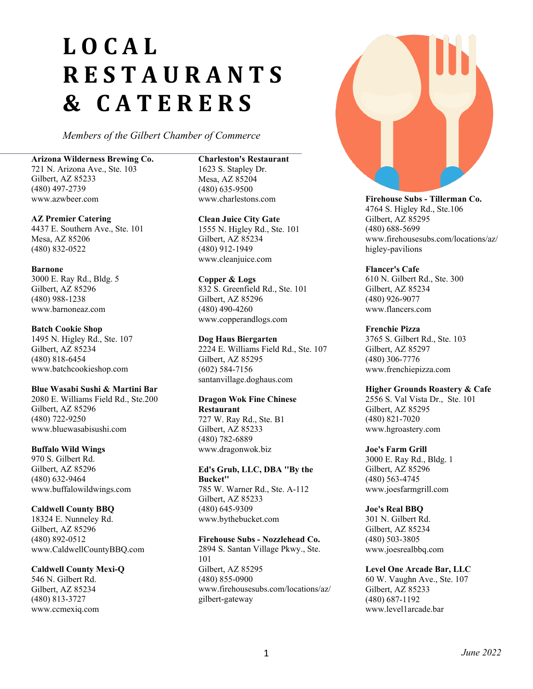# **LOCAL RESTAURANTS & CATERERS**

*Members of the Gilbert Chamber of Commerce*

#### **Arizona Wilderness Brewing Co.**

721 N. Arizona Ave., Ste. 103 Gilbert, AZ 85233 (480) 497-2739 www.azwbeer.com

#### **AZ Premier Catering**

4437 E. Southern Ave., Ste. 101 Mesa, AZ 85206 (480) 832-0522

#### **Barnone**

3000 E. Ray Rd., Bldg. 5 Gilbert, AZ 85296 (480) 988-1238 www.barnoneaz.com

#### **Batch Cookie Shop**

1495 N. Higley Rd., Ste. 107 Gilbert, AZ 85234 (480) 818-6454 www.batchcookieshop.com

#### **Blue Wasabi Sushi & Martini Bar**

2080 E. Williams Field Rd., Ste.200 Gilbert, AZ 85296 (480) 722-9250 www.bluewasabisushi.com

#### **Buffalo Wild Wings**

970 S. Gilbert Rd. Gilbert, AZ 85296 (480) 632-9464 www.buffalowildwings.com

#### **Caldwell County BBQ**

18324 E. Nunneley Rd. Gilbert, AZ 85296 (480) 892-0512 www.CaldwellCountyBBQ.com

#### **Caldwell County Mexi-Q**

546 N. Gilbert Rd. Gilbert, AZ 85234 (480) 813-3727 www.ccmexiq.com

#### **Charleston's Restaurant**

1623 S. Stapley Dr. Mesa, AZ 85204 (480) 635-9500 www.charlestons.com

#### **Clean Juice City Gate**

1555 N. Higley Rd., Ste. 101 Gilbert, AZ 85234 (480) 912-1949 www.cleanjuice.com

#### **Copper & Logs**

832 S. Greenfield Rd., Ste. 101 Gilbert, AZ 85296 (480) 490-4260 www.copperandlogs.com

#### **Dog Haus Biergarten**

2224 E. Williams Field Rd., Ste. 107 Gilbert, AZ 85295 (602) 584-7156 santanvillage.doghaus.com

# **Dragon Wok Fine Chinese**

**Restaurant** 727 W. Ray Rd., Ste. B1 Gilbert, AZ 85233 (480) 782-6889 www.dragonwok.biz

#### **Ed's Grub, LLC, DBA ''By the Bucket''**

785 W. Warner Rd., Ste. A-112 Gilbert, AZ 85233 (480) 645-9309 www.bythebucket.com

#### **Firehouse Subs - Nozzlehead Co.**

2894 S. Santan Village Pkwy., Ste. 101 Gilbert, AZ 85295 (480) 855-0900 www.firehousesubs.com/locations/az/ gilbert-gateway



**Firehouse Subs - Tillerman Co.** 4764 S. Higley Rd., Ste.106 Gilbert, AZ 85295 (480) 688-5699 www.firehousesubs.com/locations/az/ higley-pavilions

#### **Flancer's Cafe**

610 N. Gilbert Rd., Ste. 300 Gilbert, AZ 85234 (480) 926-9077 www.flancers.com

#### **Frenchie Pizza**

3765 S. Gilbert Rd., Ste. 103 Gilbert, AZ 85297 (480) 306-7776 www.frenchiepizza.com

#### **Higher Grounds Roastery & Cafe**

2556 S. Val Vista Dr., Ste. 101 Gilbert, AZ 85295 (480) 821-7020 www.hgroastery.com

#### **Joe's Farm Grill**

3000 E. Ray Rd., Bldg. 1 Gilbert, AZ 85296 (480) 563-4745 www.joesfarmgrill.com

#### **Joe's Real BBQ**

301 N. Gilbert Rd. Gilbert, AZ 85234 (480) 503-3805 www.joesrealbbq.com

# **Level One Arcade Bar, LLC**

60 W. Vaughn Ave., Ste. 107 Gilbert, AZ 85233 (480) 687-1192 www.level1arcade.bar